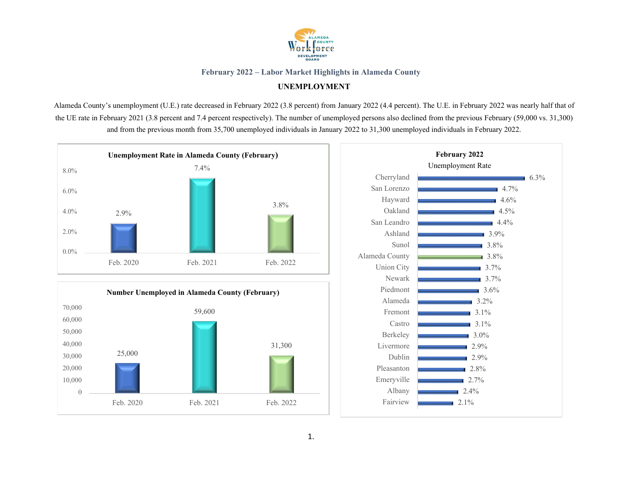

# **UNEMPLOYMENT**

Alameda County's unemployment (U.E.) rate decreased in February 2022 (3.8 percent) from January 2022 (4.4 percent). The U.E. in February 2022 was nearly half that of the UE rate in February 2021 (3.8 percent and 7.4 percent respectively). The number of unemployed persons also declined from the previous February (59,000 vs. 31,300) and from the previous month from 35,700 unemployed individuals in January 2022 to 31,300 unemployed individuals in February 2022.





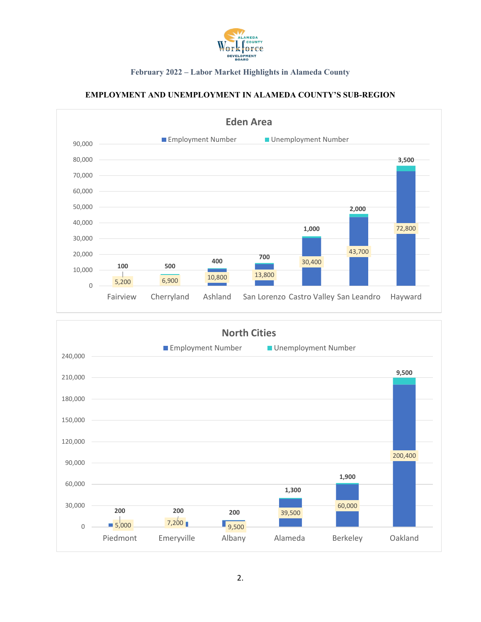

# **EMPLOYMENT AND UNEMPLOYMENT IN ALAMEDA COUNTY'S SUB-REGION**



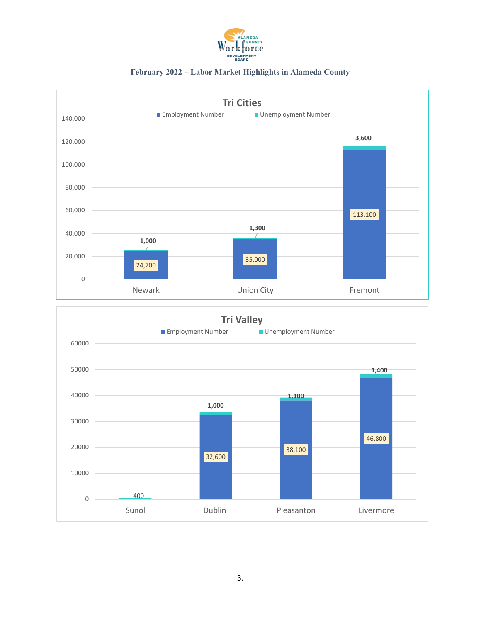

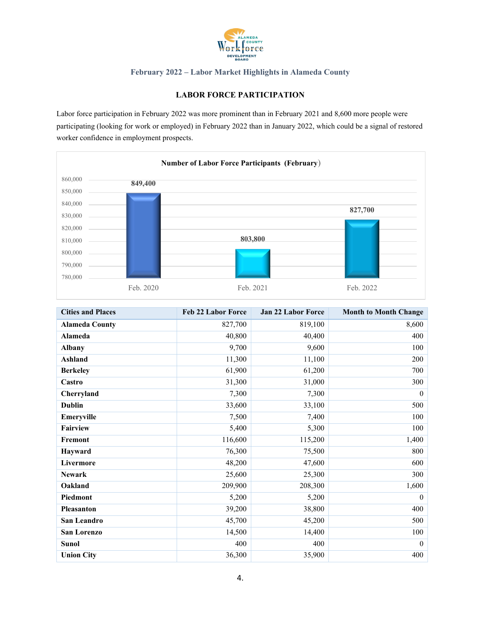

## **LABOR FORCE PARTICIPATION**

Labor force participation in February 2022 was more prominent than in February 2021 and 8,600 more people were participating (looking for work or employed) in February 2022 than in January 2022, which could be a signal of restored worker confidence in employment prospects.



| <b>Cities and Places</b> | <b>Feb 22 Labor Force</b> | <b>Jan 22 Labor Force</b> | <b>Month to Month Change</b> |
|--------------------------|---------------------------|---------------------------|------------------------------|
| <b>Alameda County</b>    | 827,700                   | 819,100                   | 8,600                        |
| <b>Alameda</b>           | 40,800                    | 40,400                    | 400                          |
| <b>Albany</b>            | 9,700                     | 9,600                     | 100                          |
| Ashland                  | 11,300                    | 11,100                    | 200                          |
| <b>Berkeley</b>          | 61,900                    | 61,200                    | 700                          |
| Castro                   | 31,300                    | 31,000                    | 300                          |
| Cherryland               | 7,300                     | 7,300                     | $\mathbf{0}$                 |
| <b>Dublin</b>            | 33,600                    | 33,100                    | 500                          |
| Emeryville               | 7,500                     | 7,400                     | 100                          |
| Fairview                 | 5,400                     | 5,300                     | 100                          |
| Fremont                  | 116,600                   | 115,200                   | 1,400                        |
| Hayward                  | 76,300                    | 75,500                    | 800                          |
| Livermore                | 48,200                    | 47,600                    | 600                          |
| <b>Newark</b>            | 25,600                    | 25,300                    | 300                          |
| Oakland                  | 209,900                   | 208,300                   | 1,600                        |
| Piedmont                 | 5,200                     | 5,200                     | $\mathbf{0}$                 |
| Pleasanton               | 39,200                    | 38,800                    | 400                          |
| San Leandro              | 45,700                    | 45,200                    | 500                          |
| <b>San Lorenzo</b>       | 14,500                    | 14,400                    | 100                          |
| <b>Sunol</b>             | 400                       | 400                       | $\overline{0}$               |
| <b>Union City</b>        | 36,300                    | 35,900                    | 400                          |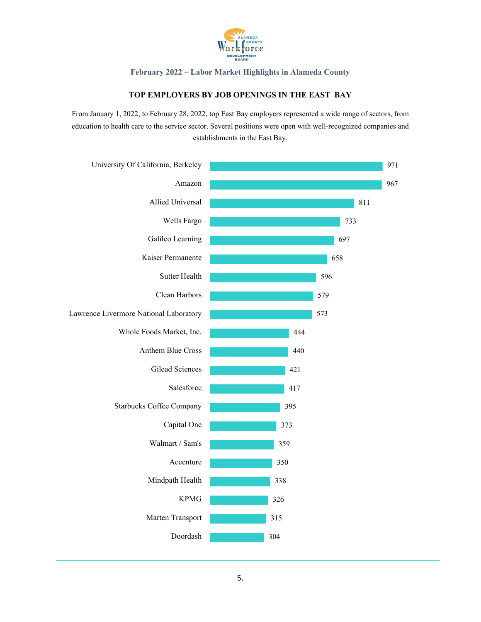

## **TOP EMPLOYERS BY JOB OPENINGS IN THE EAST BAY**

From January 1, 2022, to February 28, 2022, top East Bay employers represented a wide range of sectors, from education to health care to the service sector. Several positions were open with well-recognized companies and establishments in the East Bay.

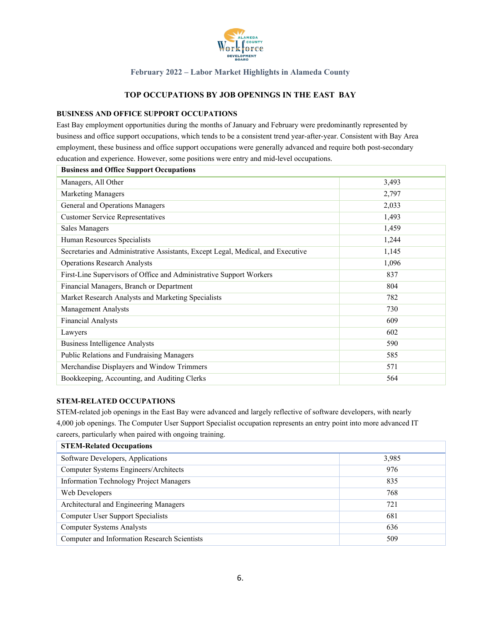

## **TOP OCCUPATIONS BY JOB OPENINGS IN THE EAST BAY**

#### **BUSINESS AND OFFICE SUPPORT OCCUPATIONS**

East Bay employment opportunities during the months of January and February were predominantly represented by business and office support occupations, which tends to be a consistent trend year-after-year. Consistent with Bay Area employment, these business and office support occupations were generally advanced and require both post-secondary education and experience. However, some positions were entry and mid-level occupations.

| <b>Business and Office Support Occupations</b>                                  |       |
|---------------------------------------------------------------------------------|-------|
| Managers, All Other                                                             | 3,493 |
| <b>Marketing Managers</b>                                                       | 2,797 |
| General and Operations Managers                                                 | 2,033 |
| <b>Customer Service Representatives</b>                                         | 1,493 |
| Sales Managers                                                                  | 1,459 |
| Human Resources Specialists                                                     | 1,244 |
| Secretaries and Administrative Assistants, Except Legal, Medical, and Executive | 1,145 |
| <b>Operations Research Analysts</b>                                             | 1,096 |
| First-Line Supervisors of Office and Administrative Support Workers             | 837   |
| Financial Managers, Branch or Department                                        | 804   |
| Market Research Analysts and Marketing Specialists                              | 782   |
| <b>Management Analysts</b>                                                      | 730   |
| <b>Financial Analysts</b>                                                       | 609   |
| Lawyers                                                                         | 602   |
| <b>Business Intelligence Analysts</b>                                           | 590   |
| Public Relations and Fundraising Managers                                       | 585   |
| Merchandise Displayers and Window Trimmers                                      | 571   |
| Bookkeeping, Accounting, and Auditing Clerks                                    | 564   |

#### **STEM-RELATED OCCUPATIONS**

STEM-related job openings in the East Bay were advanced and largely reflective of software developers, with nearly 4,000 job openings. The Computer User Support Specialist occupation represents an entry point into more advanced IT careers, particularly when paired with ongoing training.

| <b>STEM-Related Occupations</b>                |       |
|------------------------------------------------|-------|
| Software Developers, Applications              | 3,985 |
| Computer Systems Engineers/Architects          | 976   |
| <b>Information Technology Project Managers</b> | 835   |
| Web Developers                                 | 768   |
| Architectural and Engineering Managers         | 721   |
| Computer User Support Specialists              | 681   |
| <b>Computer Systems Analysts</b>               | 636   |
| Computer and Information Research Scientists   | 509   |